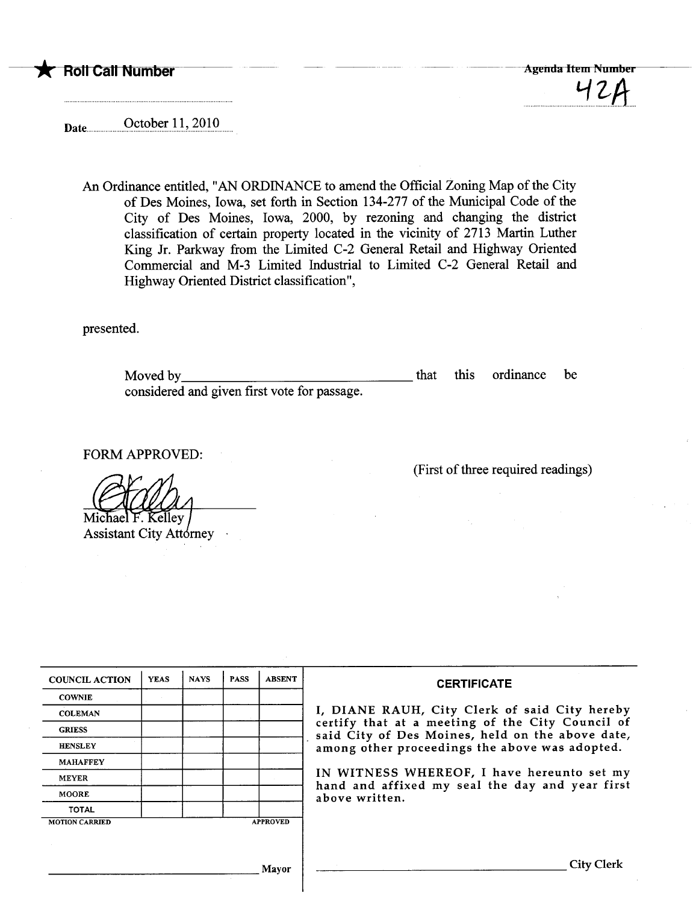

Date ...u.u.uuuu...9,?t?~~r))'..~Qlgu..

An Ordinance entitled, "AN ORDINANCE to amend the Official Zoning Map of the City of Des Moines, Iowa, set forth in Section 134-277 of the Municipal Code of the City of Des Moines, Iowa, 2000, by rezoning and changing the district classification of certain property located in the vicinity of 2713 Marin Luther King Jr. Parkway from the Limited C-2 General Retail and Highway Oriented Commercial and M-3 Limited Industrial to Limited C-2 General Retail and Highway Oriented District classification",

presented.

Moved by considered and given first vote for passage. that this ordinance be

FORM APPROVED:

Michael F. Kelley |<br>Assistant City Attorney

| <b>COUNCIL ACTION</b> | <b>YEAS</b> | <b>NAYS</b> | <b>PASS</b> | <b>ABSENT</b>   | <b>CERTIFICATE</b>                                                                                              |  |  |
|-----------------------|-------------|-------------|-------------|-----------------|-----------------------------------------------------------------------------------------------------------------|--|--|
| <b>COWNIE</b>         |             |             |             |                 | I, DIANE RAUH, City Clerk of said City hereby                                                                   |  |  |
| <b>COLEMAN</b>        |             |             |             |                 |                                                                                                                 |  |  |
| <b>GRIESS</b>         |             |             |             |                 | certify that at a meeting of the City Council of<br>said City of Des Moines, held on the above date,            |  |  |
| <b>HENSLEY</b>        |             |             |             |                 | among other proceedings the above was adopted.                                                                  |  |  |
| <b>MAHAFFEY</b>       |             |             |             |                 |                                                                                                                 |  |  |
| <b>MEYER</b>          |             |             |             |                 | IN WITNESS WHEREOF, I have hereunto set my<br>hand and affixed my seal the day and year first<br>above written. |  |  |
| <b>MOORE</b>          |             |             |             |                 |                                                                                                                 |  |  |
| <b>TOTAL</b>          |             |             |             |                 |                                                                                                                 |  |  |
| <b>MOTION CARRIED</b> |             |             |             | <b>APPROVED</b> |                                                                                                                 |  |  |
|                       |             |             |             |                 |                                                                                                                 |  |  |
|                       |             |             |             | Mavor           | <b>City Clerk</b>                                                                                               |  |  |

(First of three required readings)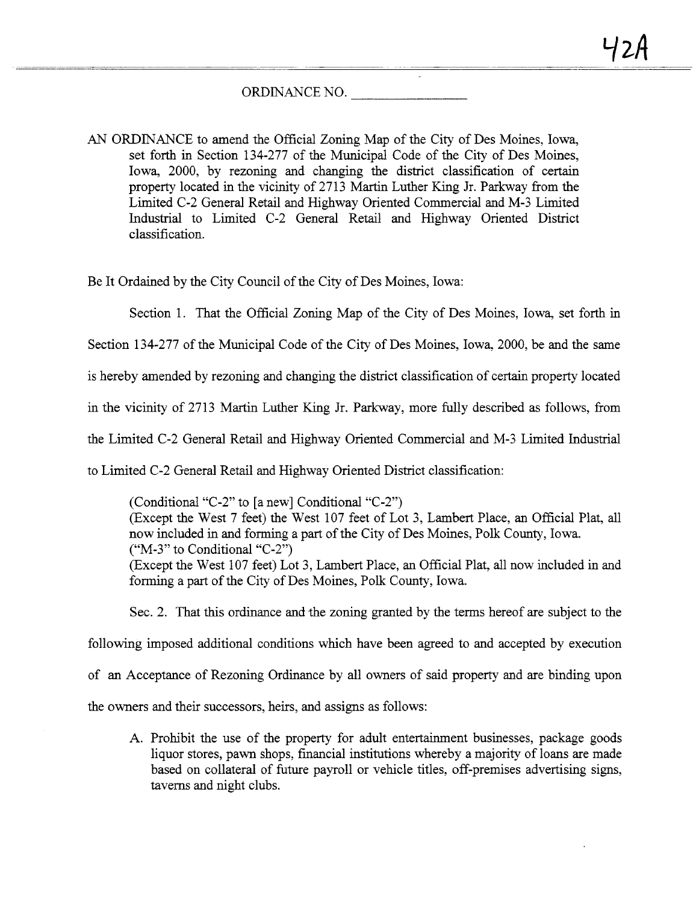## ORDINANCE NO.

AN ORDINANCE to amend the Official Zoning Map of the City of Des Moines, Iowa, set forth in Section 134-277 of the Municipal Code of the City of Des Moines, Iowa, 2000, by rezoning and changing the district classification of certain property located in the vicinity of 2713 Martin Luther King Jr. Parkway from the Limted C-2 General Retail and Highway Oriented Commercial and M-3 Limted Industrial to Limited C-2 General Retail and Highway Oriented District classification.

Be It Ordaied by the City Council of the City of Des Moines, Iowa:

Section 1. That the Official Zoning Map of the City of Des Moines, Iowa, set forth in

Section 134-277 of the Muncipal Code of the City of Des Moines, Iowa, 2000, be and the same

is hereby amended by rezoning and changing the district classification of certain property located

in the vicinity of 2713 Martin Luther King Jr. Parkway, more fully described as follows, from

the Limted C-2 General Retal and Highway Oriented Commercial and M-3 Limted Industral

to Limited C-2 General Retail and Highway Oriented District classification:

(Conditional "C-2" to (a new) Conditional "C-2") (Except the West 7 feet) the West 107 feet of Lot 3, Lambert Place, an Official Plat, all now included in and forming a part of the City of Des Moines, Polk County, Iowa. ("M-3" to Conditional "C-2") (Except the West 107 feet) Lot 3, Lambert Place, an Official Plat, all now included in and forming a part of the City of Des Moines, Polk County, Iowa.

Sec. 2. That this ordinance and the zoning granted by the terms hereof are subject to the

following imposed additional conditions which have been agreed to and accepted by execution

of an Acceptance of Rezoning Ordinance by all owners of said property and are binding upon

the owners and their successors, heirs, and assigns as follows:

A. Prohibit the use of the property for adult entertainment businesses, package goods liquor stores, pawn shops, financial institutions whereby a majority of loans are made based on collateral of future payroll or vehicle titles, off-premises advertising signs, taverns and night clubs.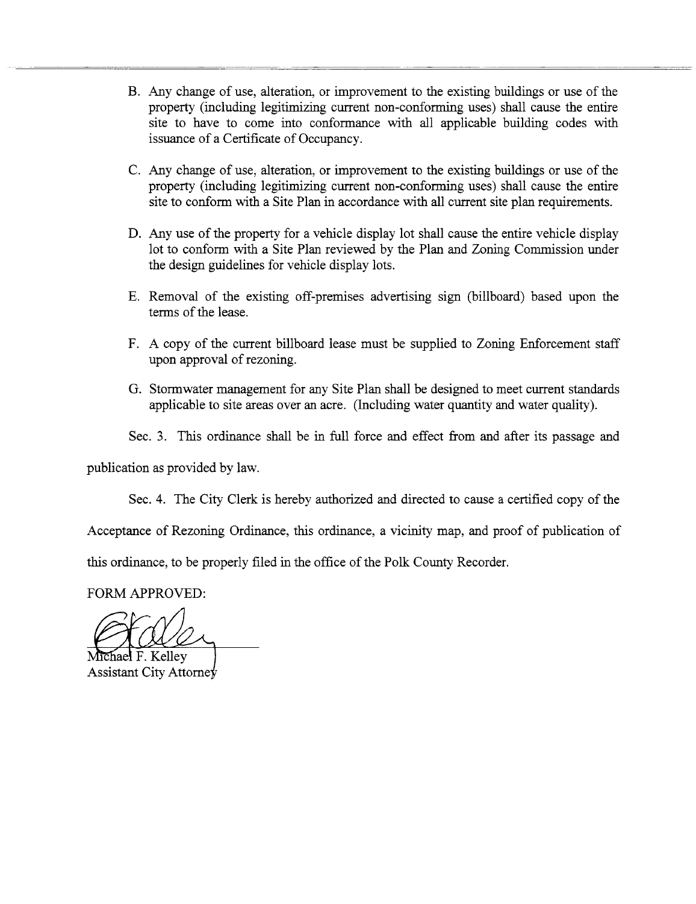- B. Any change of use, alteration, or improvement to the existing buildings or use of the property (including legitimizing current non-conforming uses) shall cause the entire site to have to come into conformance with all applicable building codes with issuance of a Certificate of Occupancy.
- C. Any change of use, alteration, or improvement to the existing buildings or use of the property (including legitimizing current non-conforming uses) shall cause the entire site to conform with a Site Plan in accordance with all current site plan requirements.
- D. Any use of the property for a vehicle display lot shall cause the entire vehicle display lot to conform with a Site Plan reviewed by the Plan and Zoning Commission under the design guidelines for vehicle display lots.
- E. Removal of the existing off-premises advertising sign (bilboard) based upon the terms of the lease.
- F. A copy of the current billboard lease must be supplied to Zoning Enforcement staff upon approval of rezonig.
- G. Stormwater management for any Site Plan shall be designed to meet curent stadards applicable to site areas over an acre. (Including water quantity and water quality).
- Sec. 3. This ordinance shall be in full force and effect from and after its passage and

publication as provided by law.

Sec. 4. The City Clerk is hereby authorized and directed to cause a certified copy of the

Acceptance of Rezoning Ordinance, this ordinance, a vicinity map, and proof of publication of

this ordinance, to be properly filed in the office of the Polk County Recorder.

FORM APPROVED:

fiael F. Kellev

Assistant City Attorney